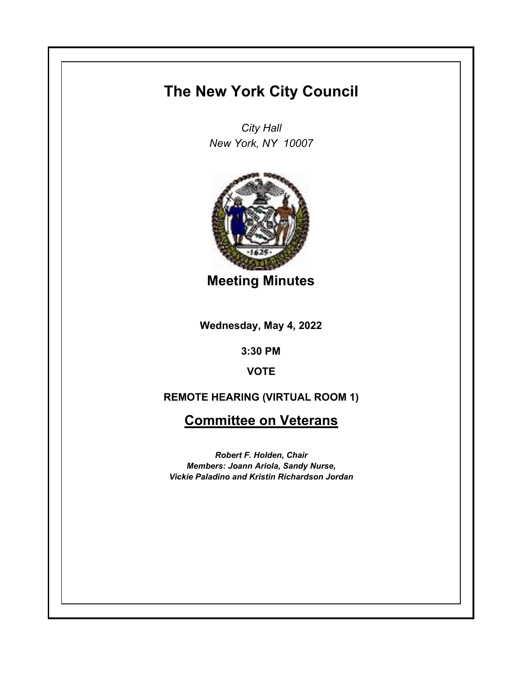## **The New York City Council**

*City Hall New York, NY 10007*



**Meeting Minutes**

**Wednesday, May 4, 2022**

**3:30 PM**

**VOTE**

## **REMOTE HEARING (VIRTUAL ROOM 1)**

**Committee on Veterans**

*Robert F. Holden, Chair Members: Joann Ariola, Sandy Nurse, Vickie Paladino and Kristin Richardson Jordan*